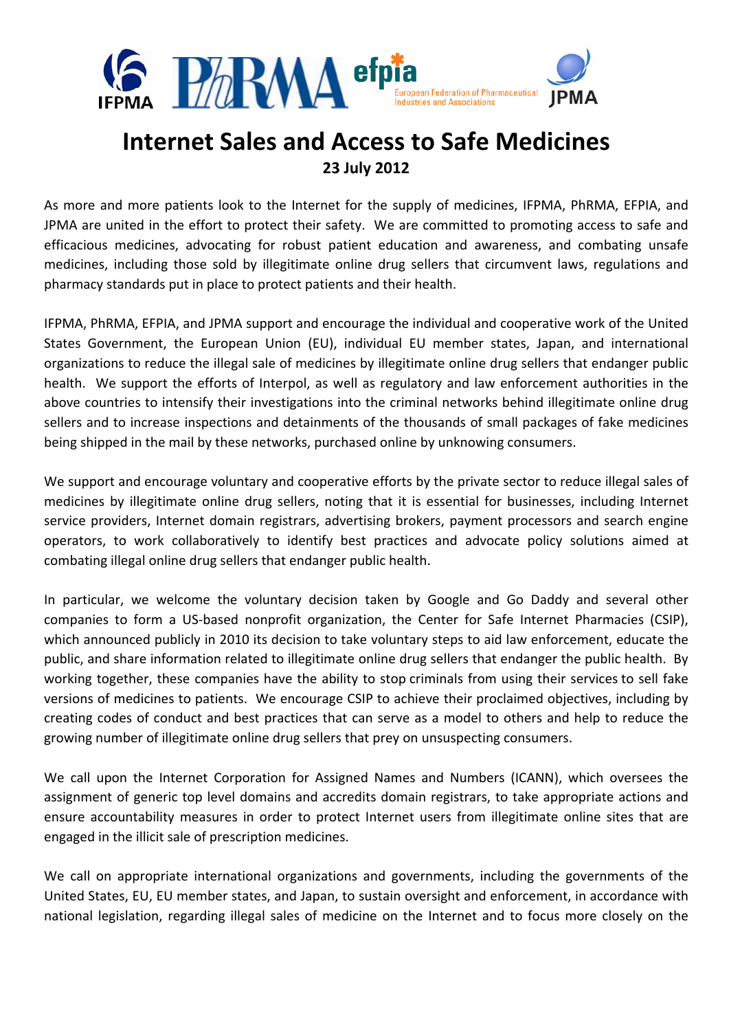

## **Internet Sales and Access to Safe Medicines 23 July 2012**

As more and more patients look to the Internet for the supply of medicines, IFPMA, PhRMA, EFPIA, and JPMA are united in the effort to protect their safety. We are committed to promoting access to safe and efficacious medicines, advocating for robust patient education and awareness, and combating unsafe medicines, including those sold by illegitimate online drug sellers that circumvent laws, regulations and pharmacy standards put in place to protect patients and their health.

IFPMA, PhRMA, EFPIA, and JPMA support and encourage the individual and cooperative work of the United States Government, the European Union (EU), individual EU member states, Japan, and international organizations to reduce the illegal sale of medicines by illegitimate online drug sellers that endanger public health. We support the efforts of Interpol, as well as regulatory and law enforcement authorities in the above countries to intensify their investigations into the criminal networks behind illegitimate online drug sellers and to increase inspections and detainments of the thousands of small packages of fake medicines being shipped in the mail by these networks, purchased online by unknowing consumers.

We support and encourage voluntary and cooperative efforts by the private sector to reduce illegal sales of medicines by illegitimate online drug sellers, noting that it is essential for businesses, including Internet service providers, Internet domain registrars, advertising brokers, payment processors and search engine operators, to work collaboratively to identify best practices and advocate policy solutions aimed at combating illegal online drug sellers that endanger public health.

In particular, we welcome the voluntary decision taken by Google and Go Daddy and several other companies to form a US‐based nonprofit organization, the Center for Safe Internet Pharmacies (CSIP), which announced publicly in 2010 its decision to take voluntary steps to aid law enforcement, educate the public, and share information related to illegitimate online drug sellers that endanger the public health. By working together, these companies have the ability to stop criminals from using their services to sell fake versions of medicines to patients. We encourage CSIP to achieve their proclaimed objectives, including by creating codes of conduct and best practices that can serve as a model to others and help to reduce the growing number of illegitimate online drug sellers that prey on unsuspecting consumers.

We call upon the Internet Corporation for Assigned Names and Numbers (ICANN), which oversees the assignment of generic top level domains and accredits domain registrars, to take appropriate actions and ensure accountability measures in order to protect Internet users from illegitimate online sites that are engaged in the illicit sale of prescription medicines.

We call on appropriate international organizations and governments, including the governments of the United States, EU, EU member states, and Japan, to sustain oversight and enforcement, in accordance with national legislation, regarding illegal sales of medicine on the Internet and to focus more closely on the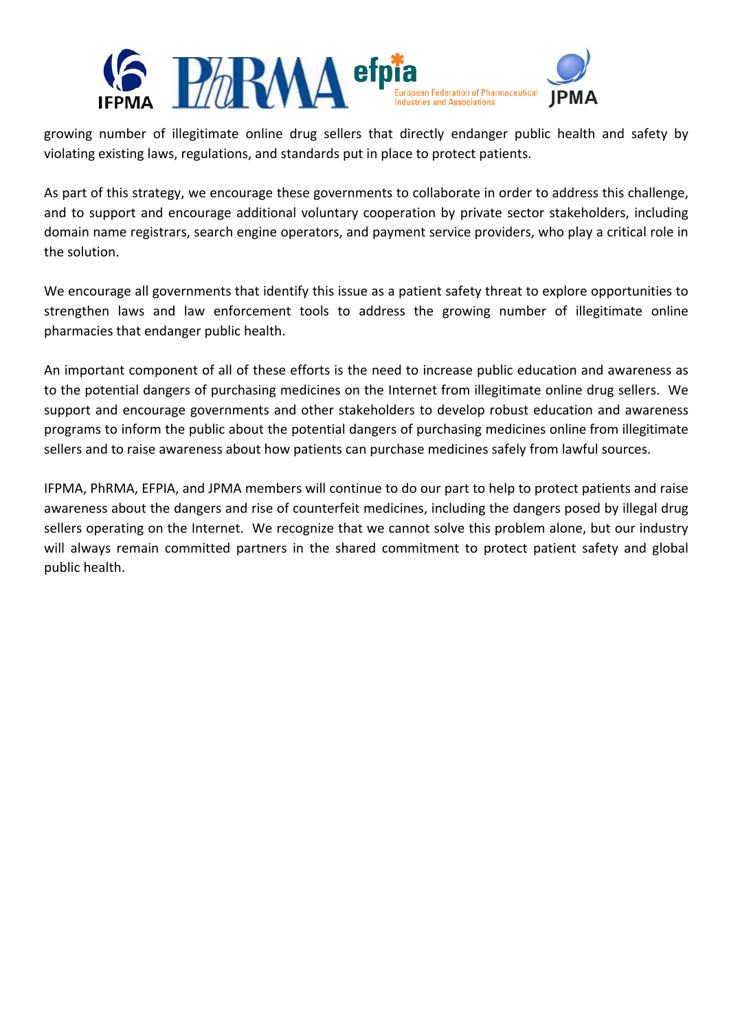

growing number of illegitimate online drug sellers that directly endanger public health and safety by violating existing laws, regulations, and standards put in place to protect patients.

As part of this strategy, we encourage these governments to collaborate in order to address this challenge, and to support and encourage additional voluntary cooperation by private sector stakeholders, including domain name registrars, search engine operators, and payment service providers, who play a critical role in the solution.

We encourage all governments that identify this issue as a patient safety threat to explore opportunities to strengthen laws and law enforcement tools to address the growing number of illegitimate online pharmacies that endanger public health.

An important component of all of these efforts is the need to increase public education and awareness as to the potential dangers of purchasing medicines on the Internet from illegitimate online drug sellers. We support and encourage governments and other stakeholders to develop robust education and awareness programs to inform the public about the potential dangers of purchasing medicines online from illegitimate sellers and to raise awareness about how patients can purchase medicines safely from lawful sources.

IFPMA, PhRMA, EFPIA, and JPMA members will continue to do our part to help to protect patients and raise awareness about the dangers and rise of counterfeit medicines, including the dangers posed by illegal drug sellers operating on the Internet. We recognize that we cannot solve this problem alone, but our industry will always remain committed partners in the shared commitment to protect patient safety and global public health.